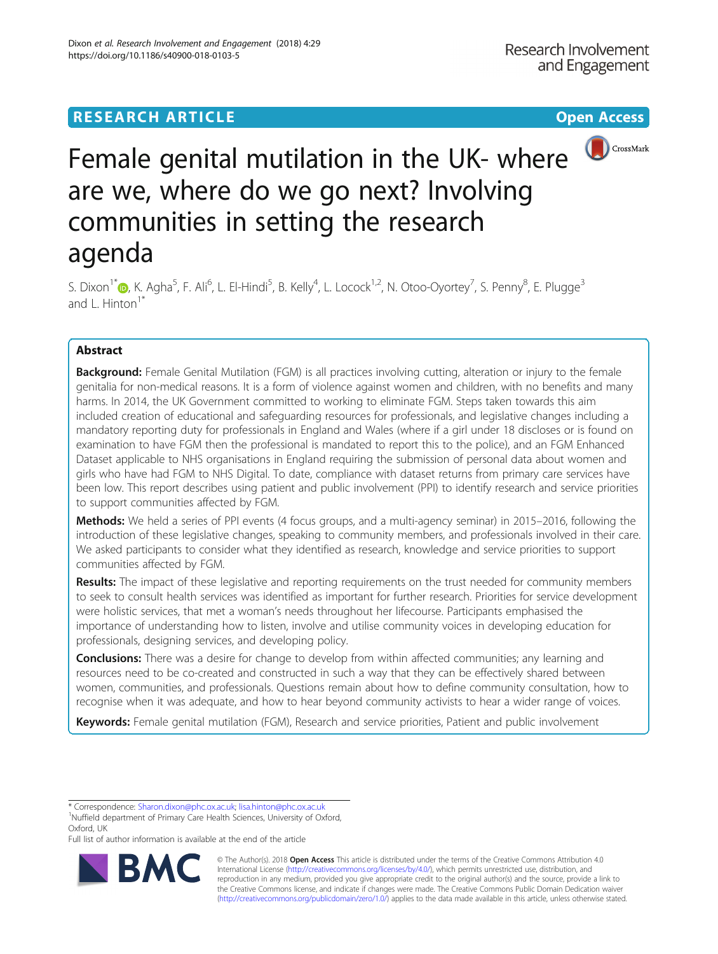# **RESEARCH ARTICLE EXECUTE: CONSIDERING A RESEARCH ARTICLE**



# Female genital mutilation in the UK- where are we, where do we go next? Involving communities in setting the research agenda

S. Dixon<sup>1\*</sup>®, K. Agha<sup>5</sup>, F. Ali<sup>6</sup>, L. El-Hindi<sup>5</sup>, B. Kelly<sup>4</sup>, L. Locock<sup>1,2</sup>, N. Otoo-Oyortey<sup>7</sup>, S. Penny<sup>8</sup>, E. Plugge<sup>3</sup> and  $L$  Hinton<sup>1\*</sup>

# Abstract

**Background:** Female Genital Mutilation (FGM) is all practices involving cutting, alteration or injury to the female genitalia for non-medical reasons. It is a form of violence against women and children, with no benefits and many harms. In 2014, the UK Government committed to working to eliminate FGM. Steps taken towards this aim included creation of educational and safeguarding resources for professionals, and legislative changes including a mandatory reporting duty for professionals in England and Wales (where if a girl under 18 discloses or is found on examination to have FGM then the professional is mandated to report this to the police), and an FGM Enhanced Dataset applicable to NHS organisations in England requiring the submission of personal data about women and girls who have had FGM to NHS Digital. To date, compliance with dataset returns from primary care services have been low. This report describes using patient and public involvement (PPI) to identify research and service priorities to support communities affected by FGM.

Methods: We held a series of PPI events (4 focus groups, and a multi-agency seminar) in 2015–2016, following the introduction of these legislative changes, speaking to community members, and professionals involved in their care. We asked participants to consider what they identified as research, knowledge and service priorities to support communities affected by FGM.

Results: The impact of these legislative and reporting requirements on the trust needed for community members to seek to consult health services was identified as important for further research. Priorities for service development were holistic services, that met a woman's needs throughout her lifecourse. Participants emphasised the importance of understanding how to listen, involve and utilise community voices in developing education for professionals, designing services, and developing policy.

**Conclusions:** There was a desire for change to develop from within affected communities; any learning and resources need to be co-created and constructed in such a way that they can be effectively shared between women, communities, and professionals. Questions remain about how to define community consultation, how to recognise when it was adequate, and how to hear beyond community activists to hear a wider range of voices.

Keywords: Female genital mutilation (FGM), Research and service priorities, Patient and public involvement

Full list of author information is available at the end of the article



© The Author(s). 2018 Open Access This article is distributed under the terms of the Creative Commons Attribution 4.0 International License [\(http://creativecommons.org/licenses/by/4.0/](http://creativecommons.org/licenses/by/4.0/)), which permits unrestricted use, distribution, and reproduction in any medium, provided you give appropriate credit to the original author(s) and the source, provide a link to the Creative Commons license, and indicate if changes were made. The Creative Commons Public Domain Dedication waiver [\(http://creativecommons.org/publicdomain/zero/1.0/](http://creativecommons.org/publicdomain/zero/1.0/)) applies to the data made available in this article, unless otherwise stated.

<sup>\*</sup> Correspondence: [Sharon.dixon@phc.ox.ac.uk;](mailto:Sharon.dixon@phc.ox.ac.uk) [lisa.hinton@phc.ox.ac.uk](mailto:lisa.hinton@phc.ox.ac.uk) <sup>1</sup>

<sup>&</sup>lt;sup>1</sup>Nuffield department of Primary Care Health Sciences, University of Oxford, Oxford, UK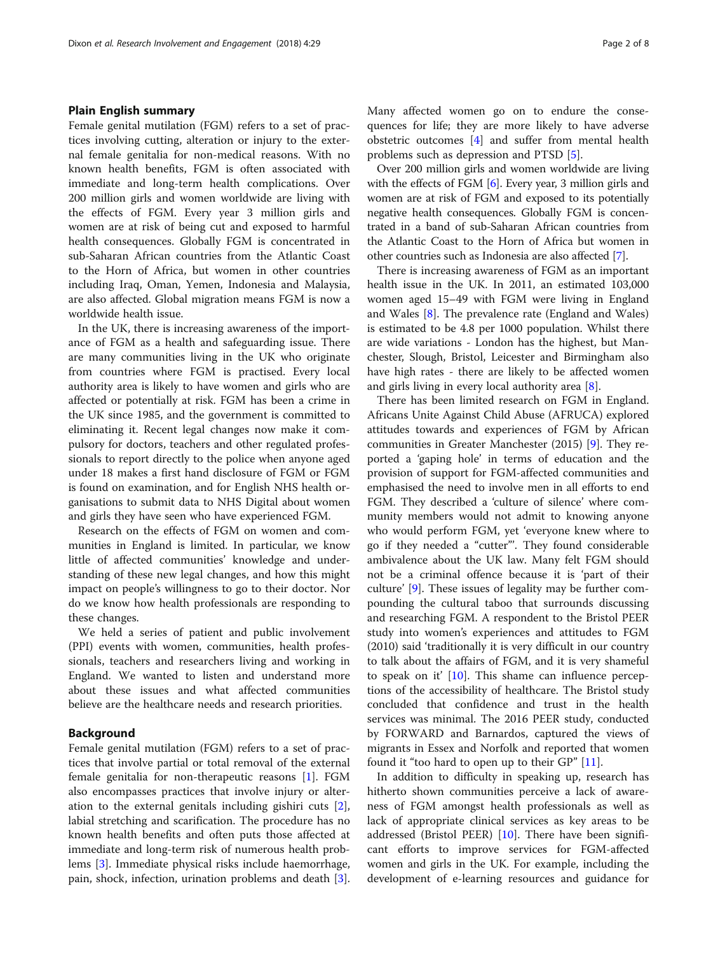## Plain English summary

Female genital mutilation (FGM) refers to a set of practices involving cutting, alteration or injury to the external female genitalia for non-medical reasons. With no known health benefits, FGM is often associated with immediate and long-term health complications. Over 200 million girls and women worldwide are living with the effects of FGM. Every year 3 million girls and women are at risk of being cut and exposed to harmful health consequences. Globally FGM is concentrated in sub-Saharan African countries from the Atlantic Coast to the Horn of Africa, but women in other countries including Iraq, Oman, Yemen, Indonesia and Malaysia, are also affected. Global migration means FGM is now a worldwide health issue.

In the UK, there is increasing awareness of the importance of FGM as a health and safeguarding issue. There are many communities living in the UK who originate from countries where FGM is practised. Every local authority area is likely to have women and girls who are affected or potentially at risk. FGM has been a crime in the UK since 1985, and the government is committed to eliminating it. Recent legal changes now make it compulsory for doctors, teachers and other regulated professionals to report directly to the police when anyone aged under 18 makes a first hand disclosure of FGM or FGM is found on examination, and for English NHS health organisations to submit data to NHS Digital about women and girls they have seen who have experienced FGM.

Research on the effects of FGM on women and communities in England is limited. In particular, we know little of affected communities' knowledge and understanding of these new legal changes, and how this might impact on people's willingness to go to their doctor. Nor do we know how health professionals are responding to these changes.

We held a series of patient and public involvement (PPI) events with women, communities, health professionals, teachers and researchers living and working in England. We wanted to listen and understand more about these issues and what affected communities believe are the healthcare needs and research priorities.

## Background

Female genital mutilation (FGM) refers to a set of practices that involve partial or total removal of the external female genitalia for non-therapeutic reasons [[1\]](#page-7-0). FGM also encompasses practices that involve injury or alteration to the external genitals including gishiri cuts [\[2](#page-7-0)], labial stretching and scarification. The procedure has no known health benefits and often puts those affected at immediate and long-term risk of numerous health problems [\[3](#page-7-0)]. Immediate physical risks include haemorrhage, pain, shock, infection, urination problems and death [\[3](#page-7-0)]. Many affected women go on to endure the consequences for life; they are more likely to have adverse obstetric outcomes [\[4](#page-7-0)] and suffer from mental health problems such as depression and PTSD [[5](#page-7-0)].

Over 200 million girls and women worldwide are living with the effects of FGM [[6\]](#page-7-0). Every year, 3 million girls and women are at risk of FGM and exposed to its potentially negative health consequences. Globally FGM is concentrated in a band of sub-Saharan African countries from the Atlantic Coast to the Horn of Africa but women in other countries such as Indonesia are also affected [\[7](#page-7-0)].

There is increasing awareness of FGM as an important health issue in the UK. In 2011, an estimated 103,000 women aged 15–49 with FGM were living in England and Wales [\[8](#page-7-0)]. The prevalence rate (England and Wales) is estimated to be 4.8 per 1000 population. Whilst there are wide variations - London has the highest, but Manchester, Slough, Bristol, Leicester and Birmingham also have high rates - there are likely to be affected women and girls living in every local authority area [\[8](#page-7-0)].

There has been limited research on FGM in England. Africans Unite Against Child Abuse (AFRUCA) explored attitudes towards and experiences of FGM by African communities in Greater Manchester (2015) [[9\]](#page-7-0). They reported a 'gaping hole' in terms of education and the provision of support for FGM-affected communities and emphasised the need to involve men in all efforts to end FGM. They described a 'culture of silence' where community members would not admit to knowing anyone who would perform FGM, yet 'everyone knew where to go if they needed a "cutter"'. They found considerable ambivalence about the UK law. Many felt FGM should not be a criminal offence because it is 'part of their culture' [[9\]](#page-7-0). These issues of legality may be further compounding the cultural taboo that surrounds discussing and researching FGM. A respondent to the Bristol PEER study into women's experiences and attitudes to FGM (2010) said 'traditionally it is very difficult in our country to talk about the affairs of FGM, and it is very shameful to speak on it'  $[10]$  $[10]$ . This shame can influence perceptions of the accessibility of healthcare. The Bristol study concluded that confidence and trust in the health services was minimal. The 2016 PEER study, conducted by FORWARD and Barnardos, captured the views of migrants in Essex and Norfolk and reported that women found it "too hard to open up to their  $GP''$  [\[11](#page-7-0)].

In addition to difficulty in speaking up, research has hitherto shown communities perceive a lack of awareness of FGM amongst health professionals as well as lack of appropriate clinical services as key areas to be addressed (Bristol PEER)  $[10]$  $[10]$ . There have been significant efforts to improve services for FGM-affected women and girls in the UK. For example, including the development of e-learning resources and guidance for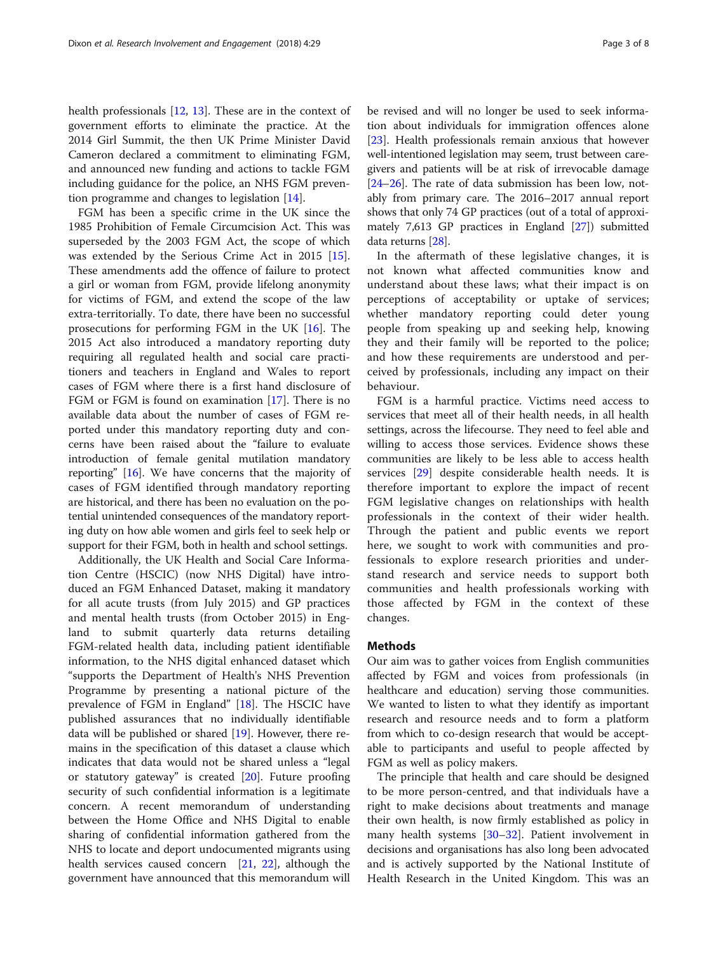health professionals [\[12](#page-7-0), [13](#page-7-0)]. These are in the context of government efforts to eliminate the practice. At the 2014 Girl Summit, the then UK Prime Minister David Cameron declared a commitment to eliminating FGM, and announced new funding and actions to tackle FGM including guidance for the police, an NHS FGM prevention programme and changes to legislation [\[14](#page-7-0)].

FGM has been a specific crime in the UK since the 1985 Prohibition of Female Circumcision Act. This was superseded by the 2003 FGM Act, the scope of which was extended by the Serious Crime Act in 2015 [\[15](#page-7-0)]. These amendments add the offence of failure to protect a girl or woman from FGM, provide lifelong anonymity for victims of FGM, and extend the scope of the law extra-territorially. To date, there have been no successful prosecutions for performing FGM in the UK [\[16\]](#page-7-0). The 2015 Act also introduced a mandatory reporting duty requiring all regulated health and social care practitioners and teachers in England and Wales to report cases of FGM where there is a first hand disclosure of FGM or FGM is found on examination [[17\]](#page-7-0). There is no available data about the number of cases of FGM reported under this mandatory reporting duty and concerns have been raised about the "failure to evaluate introduction of female genital mutilation mandatory reporting" [\[16\]](#page-7-0). We have concerns that the majority of cases of FGM identified through mandatory reporting are historical, and there has been no evaluation on the potential unintended consequences of the mandatory reporting duty on how able women and girls feel to seek help or support for their FGM, both in health and school settings.

Additionally, the UK Health and Social Care Information Centre (HSCIC) (now NHS Digital) have introduced an FGM Enhanced Dataset, making it mandatory for all acute trusts (from July 2015) and GP practices and mental health trusts (from October 2015) in England to submit quarterly data returns detailing FGM-related health data, including patient identifiable information, to the NHS digital enhanced dataset which "supports the Department of Health's NHS Prevention Programme by presenting a national picture of the prevalence of FGM in England" [[18\]](#page-7-0). The HSCIC have published assurances that no individually identifiable data will be published or shared  $[19]$ . However, there remains in the specification of this dataset a clause which indicates that data would not be shared unless a "legal or statutory gateway" is created [\[20\]](#page-7-0). Future proofing security of such confidential information is a legitimate concern. A recent memorandum of understanding between the Home Office and NHS Digital to enable sharing of confidential information gathered from the NHS to locate and deport undocumented migrants using health services caused concern [[21](#page-7-0), [22](#page-7-0)], although the government have announced that this memorandum will be revised and will no longer be used to seek information about individuals for immigration offences alone [[23\]](#page-7-0). Health professionals remain anxious that however well-intentioned legislation may seem, trust between caregivers and patients will be at risk of irrevocable damage [[24](#page-7-0)–[26\]](#page-7-0). The rate of data submission has been low, notably from primary care. The 2016–2017 annual report shows that only 74 GP practices (out of a total of approximately 7,613 GP practices in England [\[27\]](#page-7-0)) submitted data returns [[28](#page-7-0)].

In the aftermath of these legislative changes, it is not known what affected communities know and understand about these laws; what their impact is on perceptions of acceptability or uptake of services; whether mandatory reporting could deter young people from speaking up and seeking help, knowing they and their family will be reported to the police; and how these requirements are understood and perceived by professionals, including any impact on their behaviour.

FGM is a harmful practice. Victims need access to services that meet all of their health needs, in all health settings, across the lifecourse. They need to feel able and willing to access those services. Evidence shows these communities are likely to be less able to access health services [[29\]](#page-7-0) despite considerable health needs. It is therefore important to explore the impact of recent FGM legislative changes on relationships with health professionals in the context of their wider health. Through the patient and public events we report here, we sought to work with communities and professionals to explore research priorities and understand research and service needs to support both communities and health professionals working with those affected by FGM in the context of these changes.

#### **Methods**

Our aim was to gather voices from English communities affected by FGM and voices from professionals (in healthcare and education) serving those communities. We wanted to listen to what they identify as important research and resource needs and to form a platform from which to co-design research that would be acceptable to participants and useful to people affected by FGM as well as policy makers.

The principle that health and care should be designed to be more person-centred, and that individuals have a right to make decisions about treatments and manage their own health, is now firmly established as policy in many health systems [[30](#page-7-0)–[32](#page-7-0)]. Patient involvement in decisions and organisations has also long been advocated and is actively supported by the National Institute of Health Research in the United Kingdom. This was an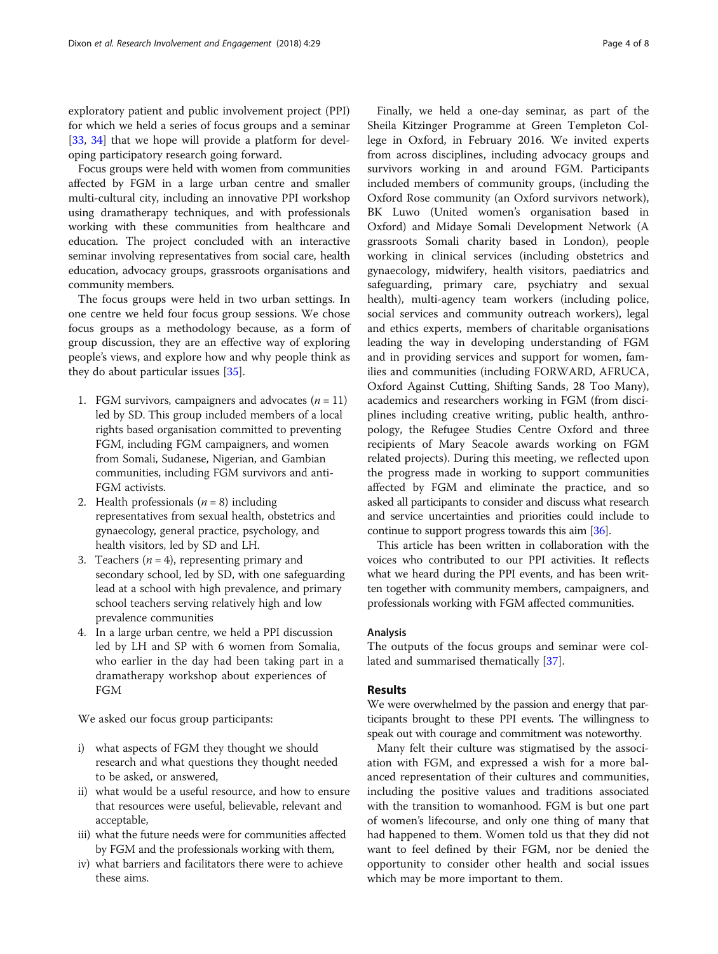exploratory patient and public involvement project (PPI) for which we held a series of focus groups and a seminar [[33,](#page-7-0) [34](#page-7-0)] that we hope will provide a platform for developing participatory research going forward.

Focus groups were held with women from communities affected by FGM in a large urban centre and smaller multi-cultural city, including an innovative PPI workshop using dramatherapy techniques, and with professionals working with these communities from healthcare and education. The project concluded with an interactive seminar involving representatives from social care, health education, advocacy groups, grassroots organisations and community members.

The focus groups were held in two urban settings. In one centre we held four focus group sessions. We chose focus groups as a methodology because, as a form of group discussion, they are an effective way of exploring people's views, and explore how and why people think as they do about particular issues [\[35](#page-7-0)].

- 1. FGM survivors, campaigners and advocates  $(n = 11)$ led by SD. This group included members of a local rights based organisation committed to preventing FGM, including FGM campaigners, and women from Somali, Sudanese, Nigerian, and Gambian communities, including FGM survivors and anti-FGM activists.
- 2. Health professionals  $(n = 8)$  including representatives from sexual health, obstetrics and gynaecology, general practice, psychology, and health visitors, led by SD and LH.
- 3. Teachers ( $n = 4$ ), representing primary and secondary school, led by SD, with one safeguarding lead at a school with high prevalence, and primary school teachers serving relatively high and low prevalence communities
- 4. In a large urban centre, we held a PPI discussion led by LH and SP with 6 women from Somalia, who earlier in the day had been taking part in a dramatherapy workshop about experiences of FGM

We asked our focus group participants:

- i) what aspects of FGM they thought we should research and what questions they thought needed to be asked, or answered,
- ii) what would be a useful resource, and how to ensure that resources were useful, believable, relevant and acceptable,
- iii) what the future needs were for communities affected by FGM and the professionals working with them,
- iv) what barriers and facilitators there were to achieve these aims.

Finally, we held a one-day seminar, as part of the Sheila Kitzinger Programme at Green Templeton College in Oxford, in February 2016. We invited experts from across disciplines, including advocacy groups and survivors working in and around FGM. Participants included members of community groups, (including the Oxford Rose community (an Oxford survivors network), BK Luwo (United women's organisation based in Oxford) and Midaye Somali Development Network (A grassroots Somali charity based in London), people working in clinical services (including obstetrics and gynaecology, midwifery, health visitors, paediatrics and safeguarding, primary care, psychiatry and sexual health), multi-agency team workers (including police, social services and community outreach workers), legal and ethics experts, members of charitable organisations leading the way in developing understanding of FGM and in providing services and support for women, families and communities (including FORWARD, AFRUCA, Oxford Against Cutting, Shifting Sands, 28 Too Many), academics and researchers working in FGM (from disciplines including creative writing, public health, anthropology, the Refugee Studies Centre Oxford and three recipients of Mary Seacole awards working on FGM related projects). During this meeting, we reflected upon the progress made in working to support communities affected by FGM and eliminate the practice, and so asked all participants to consider and discuss what research and service uncertainties and priorities could include to continue to support progress towards this aim [[36](#page-7-0)].

This article has been written in collaboration with the voices who contributed to our PPI activities. It reflects what we heard during the PPI events, and has been written together with community members, campaigners, and professionals working with FGM affected communities.

#### Analysis

The outputs of the focus groups and seminar were collated and summarised thematically [\[37](#page-7-0)].

## Results

We were overwhelmed by the passion and energy that participants brought to these PPI events. The willingness to speak out with courage and commitment was noteworthy.

Many felt their culture was stigmatised by the association with FGM, and expressed a wish for a more balanced representation of their cultures and communities, including the positive values and traditions associated with the transition to womanhood. FGM is but one part of women's lifecourse, and only one thing of many that had happened to them. Women told us that they did not want to feel defined by their FGM, nor be denied the opportunity to consider other health and social issues which may be more important to them.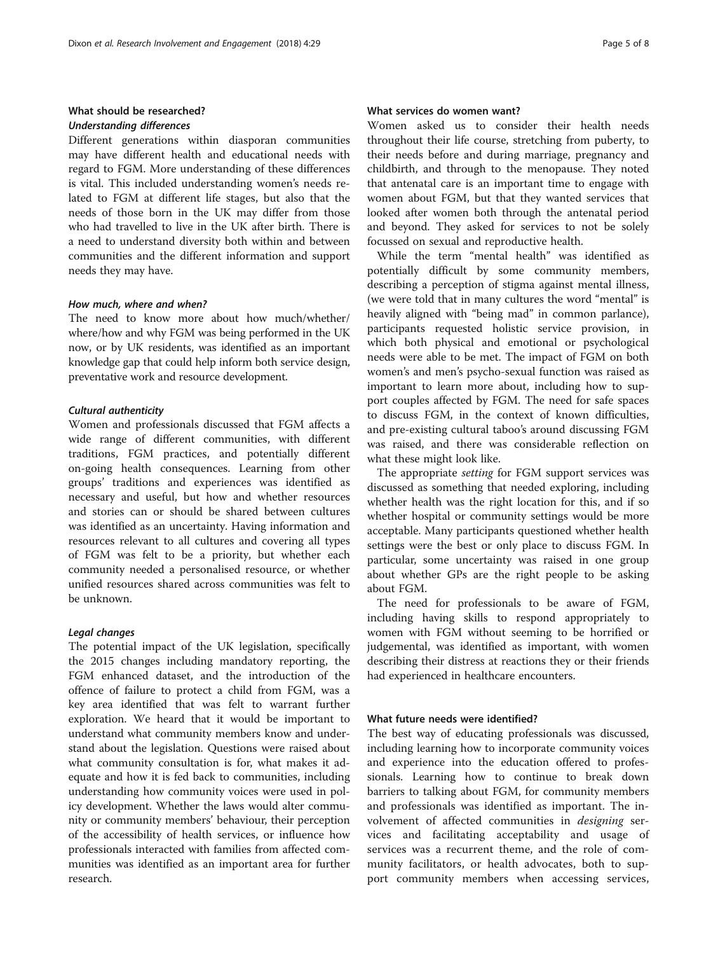# What should be researched? Understanding differences

Different generations within diasporan communities may have different health and educational needs with regard to FGM. More understanding of these differences is vital. This included understanding women's needs related to FGM at different life stages, but also that the needs of those born in the UK may differ from those who had travelled to live in the UK after birth. There is a need to understand diversity both within and between communities and the different information and support needs they may have.

#### How much, where and when?

The need to know more about how much/whether/ where/how and why FGM was being performed in the UK now, or by UK residents, was identified as an important knowledge gap that could help inform both service design, preventative work and resource development.

#### Cultural authenticity

Women and professionals discussed that FGM affects a wide range of different communities, with different traditions, FGM practices, and potentially different on-going health consequences. Learning from other groups' traditions and experiences was identified as necessary and useful, but how and whether resources and stories can or should be shared between cultures was identified as an uncertainty. Having information and resources relevant to all cultures and covering all types of FGM was felt to be a priority, but whether each community needed a personalised resource, or whether unified resources shared across communities was felt to be unknown.

#### Legal changes

The potential impact of the UK legislation, specifically the 2015 changes including mandatory reporting, the FGM enhanced dataset, and the introduction of the offence of failure to protect a child from FGM, was a key area identified that was felt to warrant further exploration. We heard that it would be important to understand what community members know and understand about the legislation. Questions were raised about what community consultation is for, what makes it adequate and how it is fed back to communities, including understanding how community voices were used in policy development. Whether the laws would alter community or community members' behaviour, their perception of the accessibility of health services, or influence how professionals interacted with families from affected communities was identified as an important area for further research.

# What services do women want?

Women asked us to consider their health needs throughout their life course, stretching from puberty, to their needs before and during marriage, pregnancy and childbirth, and through to the menopause. They noted that antenatal care is an important time to engage with women about FGM, but that they wanted services that looked after women both through the antenatal period and beyond. They asked for services to not be solely focussed on sexual and reproductive health.

While the term "mental health" was identified as potentially difficult by some community members, describing a perception of stigma against mental illness, (we were told that in many cultures the word "mental" is heavily aligned with "being mad" in common parlance), participants requested holistic service provision, in which both physical and emotional or psychological needs were able to be met. The impact of FGM on both women's and men's psycho-sexual function was raised as important to learn more about, including how to support couples affected by FGM. The need for safe spaces to discuss FGM, in the context of known difficulties, and pre-existing cultural taboo's around discussing FGM was raised, and there was considerable reflection on what these might look like.

The appropriate setting for FGM support services was discussed as something that needed exploring, including whether health was the right location for this, and if so whether hospital or community settings would be more acceptable. Many participants questioned whether health settings were the best or only place to discuss FGM. In particular, some uncertainty was raised in one group about whether GPs are the right people to be asking about FGM.

The need for professionals to be aware of FGM, including having skills to respond appropriately to women with FGM without seeming to be horrified or judgemental, was identified as important, with women describing their distress at reactions they or their friends had experienced in healthcare encounters.

# What future needs were identified?

The best way of educating professionals was discussed, including learning how to incorporate community voices and experience into the education offered to professionals. Learning how to continue to break down barriers to talking about FGM, for community members and professionals was identified as important. The involvement of affected communities in designing services and facilitating acceptability and usage of services was a recurrent theme, and the role of community facilitators, or health advocates, both to support community members when accessing services,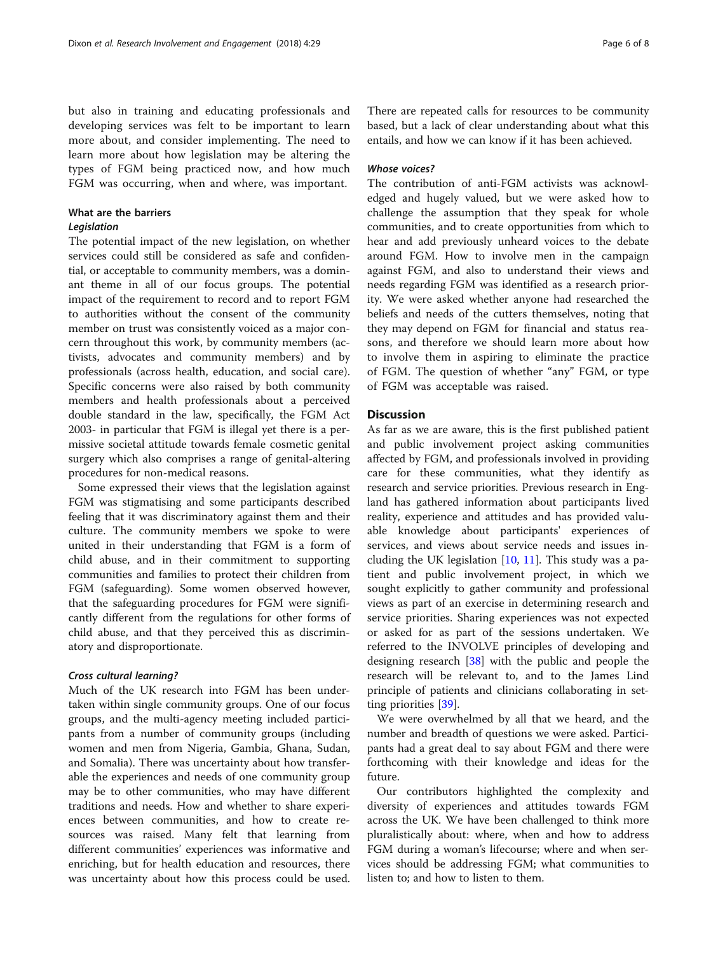but also in training and educating professionals and developing services was felt to be important to learn more about, and consider implementing. The need to learn more about how legislation may be altering the types of FGM being practiced now, and how much FGM was occurring, when and where, was important.

# What are the barriers Legislation

The potential impact of the new legislation, on whether services could still be considered as safe and confidential, or acceptable to community members, was a dominant theme in all of our focus groups. The potential impact of the requirement to record and to report FGM to authorities without the consent of the community member on trust was consistently voiced as a major concern throughout this work, by community members (activists, advocates and community members) and by professionals (across health, education, and social care). Specific concerns were also raised by both community members and health professionals about a perceived double standard in the law, specifically, the FGM Act 2003- in particular that FGM is illegal yet there is a permissive societal attitude towards female cosmetic genital surgery which also comprises a range of genital-altering procedures for non-medical reasons.

Some expressed their views that the legislation against FGM was stigmatising and some participants described feeling that it was discriminatory against them and their culture. The community members we spoke to were united in their understanding that FGM is a form of child abuse, and in their commitment to supporting communities and families to protect their children from FGM (safeguarding). Some women observed however, that the safeguarding procedures for FGM were significantly different from the regulations for other forms of child abuse, and that they perceived this as discriminatory and disproportionate.

# Cross cultural learning?

Much of the UK research into FGM has been undertaken within single community groups. One of our focus groups, and the multi-agency meeting included participants from a number of community groups (including women and men from Nigeria, Gambia, Ghana, Sudan, and Somalia). There was uncertainty about how transferable the experiences and needs of one community group may be to other communities, who may have different traditions and needs. How and whether to share experiences between communities, and how to create resources was raised. Many felt that learning from different communities' experiences was informative and enriching, but for health education and resources, there was uncertainty about how this process could be used.

There are repeated calls for resources to be community based, but a lack of clear understanding about what this entails, and how we can know if it has been achieved.

# Whose voices?

The contribution of anti-FGM activists was acknowledged and hugely valued, but we were asked how to challenge the assumption that they speak for whole communities, and to create opportunities from which to hear and add previously unheard voices to the debate around FGM. How to involve men in the campaign against FGM, and also to understand their views and needs regarding FGM was identified as a research priority. We were asked whether anyone had researched the beliefs and needs of the cutters themselves, noting that they may depend on FGM for financial and status reasons, and therefore we should learn more about how to involve them in aspiring to eliminate the practice of FGM. The question of whether "any" FGM, or type of FGM was acceptable was raised.

# Discussion

As far as we are aware, this is the first published patient and public involvement project asking communities affected by FGM, and professionals involved in providing care for these communities, what they identify as research and service priorities. Previous research in England has gathered information about participants lived reality, experience and attitudes and has provided valuable knowledge about participants' experiences of services, and views about service needs and issues including the UK legislation  $[10, 11]$  $[10, 11]$  $[10, 11]$  $[10, 11]$ . This study was a patient and public involvement project, in which we sought explicitly to gather community and professional views as part of an exercise in determining research and service priorities. Sharing experiences was not expected or asked for as part of the sessions undertaken. We referred to the INVOLVE principles of developing and designing research [\[38](#page-7-0)] with the public and people the research will be relevant to, and to the James Lind principle of patients and clinicians collaborating in setting priorities [\[39](#page-7-0)].

We were overwhelmed by all that we heard, and the number and breadth of questions we were asked. Participants had a great deal to say about FGM and there were forthcoming with their knowledge and ideas for the future.

Our contributors highlighted the complexity and diversity of experiences and attitudes towards FGM across the UK. We have been challenged to think more pluralistically about: where, when and how to address FGM during a woman's lifecourse; where and when services should be addressing FGM; what communities to listen to; and how to listen to them.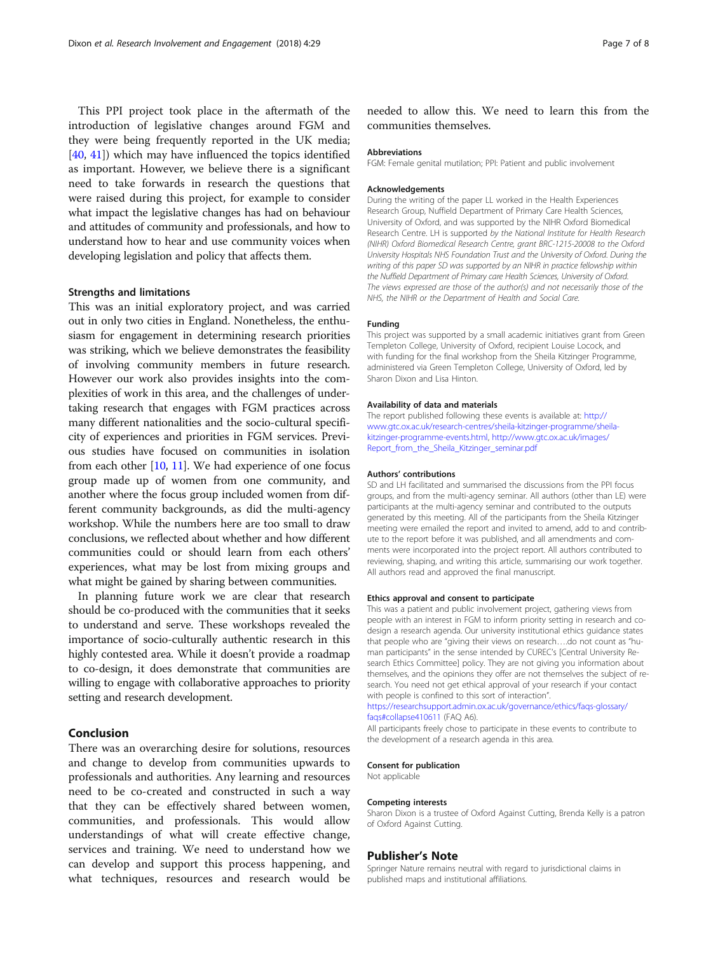This PPI project took place in the aftermath of the introduction of legislative changes around FGM and they were being frequently reported in the UK media; [[40,](#page-7-0) [41\]](#page-7-0)) which may have influenced the topics identified as important. However, we believe there is a significant need to take forwards in research the questions that were raised during this project, for example to consider what impact the legislative changes has had on behaviour and attitudes of community and professionals, and how to understand how to hear and use community voices when developing legislation and policy that affects them.

#### Strengths and limitations

This was an initial exploratory project, and was carried out in only two cities in England. Nonetheless, the enthusiasm for engagement in determining research priorities was striking, which we believe demonstrates the feasibility of involving community members in future research. However our work also provides insights into the complexities of work in this area, and the challenges of undertaking research that engages with FGM practices across many different nationalities and the socio-cultural specificity of experiences and priorities in FGM services. Previous studies have focused on communities in isolation from each other [[10](#page-7-0), [11](#page-7-0)]. We had experience of one focus group made up of women from one community, and another where the focus group included women from different community backgrounds, as did the multi-agency workshop. While the numbers here are too small to draw conclusions, we reflected about whether and how different communities could or should learn from each others' experiences, what may be lost from mixing groups and what might be gained by sharing between communities.

In planning future work we are clear that research should be co-produced with the communities that it seeks to understand and serve. These workshops revealed the importance of socio-culturally authentic research in this highly contested area. While it doesn't provide a roadmap to co-design, it does demonstrate that communities are willing to engage with collaborative approaches to priority setting and research development.

# Conclusion

There was an overarching desire for solutions, resources and change to develop from communities upwards to professionals and authorities. Any learning and resources need to be co-created and constructed in such a way that they can be effectively shared between women, communities, and professionals. This would allow understandings of what will create effective change, services and training. We need to understand how we can develop and support this process happening, and what techniques, resources and research would be

needed to allow this. We need to learn this from the communities themselves.

#### Abbreviations

FGM: Female genital mutilation; PPI: Patient and public involvement

#### Acknowledgements

During the writing of the paper LL worked in the Health Experiences Research Group, Nuffield Department of Primary Care Health Sciences, University of Oxford, and was supported by the NIHR Oxford Biomedical Research Centre. LH is supported by the National Institute for Health Research (NIHR) Oxford Biomedical Research Centre, grant BRC-1215-20008 to the Oxford University Hospitals NHS Foundation Trust and the University of Oxford. During the writing of this paper SD was supported by an NIHR in practice fellowship within the Nuffield Department of Primary care Health Sciences, University of Oxford. The views expressed are those of the author(s) and not necessarily those of the NHS, the NIHR or the Department of Health and Social Care.

#### Funding

This project was supported by a small academic initiatives grant from Green Templeton College, University of Oxford, recipient Louise Locock, and with funding for the final workshop from the Sheila Kitzinger Programme, administered via Green Templeton College, University of Oxford, led by Sharon Dixon and Lisa Hinton.

#### Availability of data and materials

The report published following these events is available at: [http://](http://www.gtc.ox.ac.uk/research-centres/sheila-kitzinger-programme/sheila-kitzinger-programme-events.html) [www.gtc.ox.ac.uk/research-centres/sheila-kitzinger-programme/sheila](http://www.gtc.ox.ac.uk/research-centres/sheila-kitzinger-programme/sheila-kitzinger-programme-events.html)[kitzinger-programme-events.html,](http://www.gtc.ox.ac.uk/research-centres/sheila-kitzinger-programme/sheila-kitzinger-programme-events.html) [http://www.gtc.ox.ac.uk/images/](http://www.gtc.ox.ac.uk/images/Report_from_the_Sheila_Kitzinger_seminar.pdf) [Report\\_from\\_the\\_Sheila\\_Kitzinger\\_seminar.pdf](http://www.gtc.ox.ac.uk/images/Report_from_the_Sheila_Kitzinger_seminar.pdf)

#### Authors' contributions

SD and LH facilitated and summarised the discussions from the PPI focus groups, and from the multi-agency seminar. All authors (other than LE) were participants at the multi-agency seminar and contributed to the outputs generated by this meeting. All of the participants from the Sheila Kitzinger meeting were emailed the report and invited to amend, add to and contribute to the report before it was published, and all amendments and comments were incorporated into the project report. All authors contributed to reviewing, shaping, and writing this article, summarising our work together. All authors read and approved the final manuscript.

#### Ethics approval and consent to participate

This was a patient and public involvement project, gathering views from people with an interest in FGM to inform priority setting in research and codesign a research agenda. Our university institutional ethics guidance states that people who are "giving their views on research….do not count as "human participants" in the sense intended by CUREC's [Central University Research Ethics Committee] policy. They are not giving you information about themselves, and the opinions they offer are not themselves the subject of research. You need not get ethical approval of your research if your contact with people is confined to this sort of interaction".

#### [https://researchsupport.admin.ox.ac.uk/governance/ethics/faqs-glossary/](https://researchsupport.admin.ox.ac.uk/governance/ethics/faqs-glossary/faqs#collapse410611) [faqs#collapse410611](https://researchsupport.admin.ox.ac.uk/governance/ethics/faqs-glossary/faqs#collapse410611) (FAQ A6).

All participants freely chose to participate in these events to contribute to the development of a research agenda in this area.

#### Consent for publication

Not applicable

#### Competing interests

Sharon Dixon is a trustee of Oxford Against Cutting, Brenda Kelly is a patron of Oxford Against Cutting.

#### Publisher's Note

Springer Nature remains neutral with regard to jurisdictional claims in published maps and institutional affiliations.